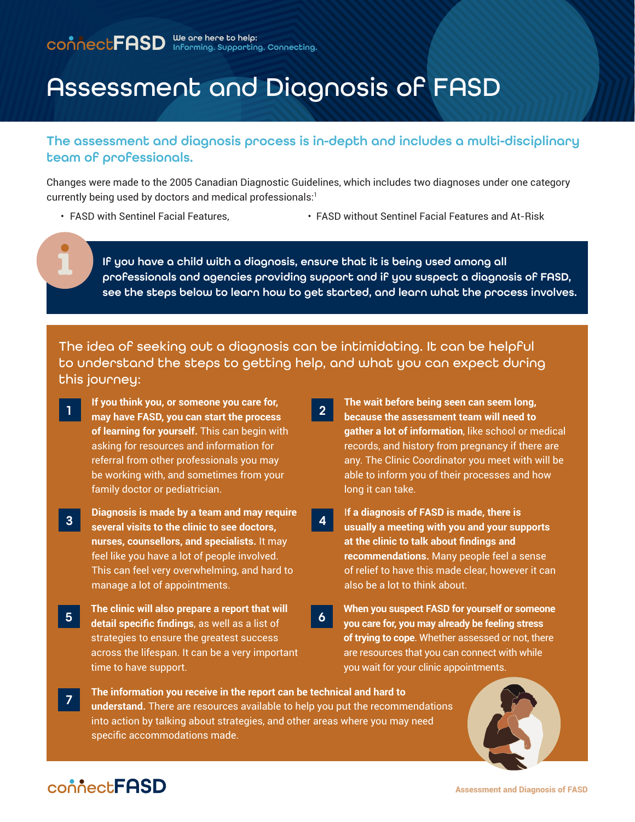# Assessment and Diagnosis of FASD

#### The assessment and diagnosis process is in-depth and includes a multi-disciplinary team of professionals.

Changes were made to the 2005 Canadian Diagnostic Guidelines, which includes two diagnoses under one category currently being used by doctors and medical professionals:1

- 
- FASD with Sentinel Facial Features, FASD without Sentinel Facial Features and At-Risk

If you have a child with a diagnosis, ensure that it is being used among all professionals and agencies providing support and if you suspect a diagnosis of FASD, see the steps below to learn how to get started, and learn what the process involves.

The idea of seeking out a diagnosis can be intimidating. It can be helpful to understand the steps to getting help, and what you can expect during this journey:

- **If you think you, or someone you care for, may have FASD, you can start the process of learning for yourself.** This can begin with asking for resources and information for referral from other professionals you may be working with, and sometimes from your family doctor or pediatrician. <sup>1</sup> **The wait before being seen can seem long,**
- **Diagnosis is made by a team and may require several visits to the clinic to see doctors, nurses, counsellors, and specialists.** It may feel like you have a lot of people involved. This can feel very overwhelming, and hard to manage a lot of appointments. 3
- The clinic will also prepare a report that will **the U.S. When you suspect FASD for yourself or someone**<br>The detail specific findings as well as a list of **the U.S. Well care for you may already** be feeling stress **detail specific findings**, as well as a list of strategies to ensure the greatest success across the lifespan. It can be a very important time to have support.
- **because the assessment team will need to gather a lot of information**, like school or medical records, and history from pregnancy if there are any. The Clinic Coordinator you meet with will be able to inform you of their processes and how long it can take. 2
- I**f a diagnosis of FASD is made, there is usually a meeting with you and your supports at the clinic to talk about findings and recommendations.** Many people feel a sense of relief to have this made clear, however it can also be a lot to think about. 4
- **you care for, you may already be feeling stress of trying to cope**. Whether assessed or not, there are resources that you can connect with while you wait for your clinic appointments. 6
- **The information you receive in the report can be technical and hard to understand.** There are resources available to help you put the recommendations into action by talking about strategies, and other areas where you may need specific accommodations made. 7



## connect**FASD**